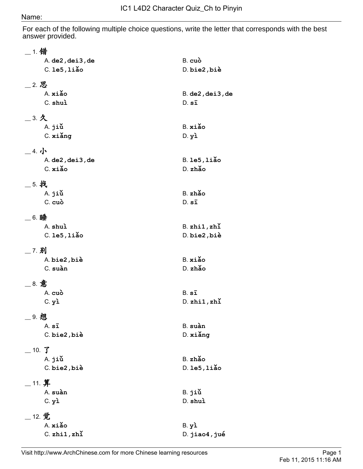## Name:

For each of the following multiple choice questions, write the letter that corresponds with the best answer provided.

| __ 1. 错                     |                                   |
|-----------------------------|-----------------------------------|
| A. de2, dei3, de            | B. cuò                            |
| $C.$ le $5,$ liǎo           | D. bie2, biè                      |
|                             |                                   |
| __ 2. 思<br>A. xiǎo          |                                   |
| C. shuì                     | $B.$ de $2$ , dei $3$ , de        |
|                             | $D. s\bar{1}$                     |
| $=$ 3. 久                    |                                   |
| A. jiù                      | B. xiǎo                           |
| C. xiǎng                    | $D.$ $y\lambda$                   |
| 4.1                         |                                   |
|                             | $B.$ le $5,$ liǎo                 |
| A. de2, dei3, de<br>C. xiǎo | D. zhǎo                           |
|                             |                                   |
| _5. 找                       |                                   |
| A. jiù                      | B. zhǎo                           |
| C. cuò                      | $D. s\bar{1}$                     |
|                             |                                   |
| __ 6. 睡<br>A. shuì          |                                   |
| $C.$ le $5,$ liǎo           | $B.$ zhi $1,$ zhi<br>D. bie2, biè |
|                             |                                   |
| 7.别                         |                                   |
| A. bie2, biè                | B. xiǎo                           |
| C. suàn                     | D. zhǎo                           |
| _ 8. 意                      |                                   |
| A. cuò                      | $B. s\bar{1}$                     |
| $C.$ $y$ ì                  | $D.$ zhi $1,$ zhi                 |
|                             |                                   |
| _9. 想                       |                                   |
| A.sī                        | B. suàn                           |
| C. bie2, biè                | D. xiǎng                          |
| $\_$ 10. $\sqrt{\}$         |                                   |
| A. jiǔ                      | B. zhǎo                           |
| C. bie2, biè                | $D.$ le $5,$ liǎo                 |
|                             |                                   |
| $\_$ 11. 算                  |                                   |
| A. suàn                     | B. jiǔ                            |
| $C.$ $y\lambda$             | D. shuì                           |
| $\_$ 12. 觉                  |                                   |
| A. xiǎo                     | $B.$ $y1$                         |
| $C.$ zhi $1,$ zhi           | D. jiao4, jué                     |
|                             |                                   |